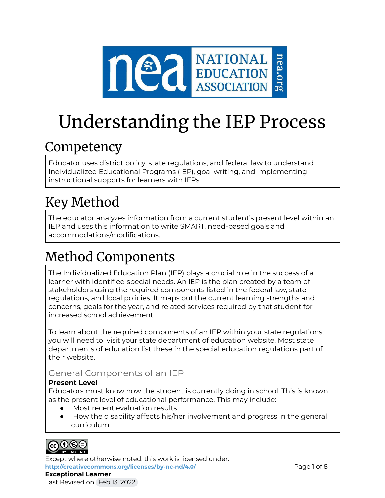

# Understanding the IEP Process

# **Competency**

Educator uses district policy, state regulations, and federal law to understand Individualized Educational Programs (IEP), goal writing, and implementing instructional supports for learners with IEPs.

# Key Method

The educator analyzes information from a current student's present level within an IEP and uses this information to write SMART, need-based goals and accommodations/modifications.

# Method Components

The Individualized Education Plan (IEP) plays a crucial role in the success of a learner with identified special needs. An IEP is the plan created by a team of stakeholders using the required components listed in the federal law, state regulations, and local policies. It maps out the current learning strengths and concerns, goals for the year, and related services required by that student for increased school achievement.

To learn about the required components of an IEP within your state regulations, you will need to visit your state department of education website. Most state departments of education list these in the special education regulations part of their website.

### General Components of an IEP

### **Present Level**

Educators must know how the student is currently doing in school. This is known as the present level of educational performance. This may include:

- Most recent evaluation results
- How the disability affects his/her involvement and progress in the general curriculum



Except where otherwise noted, this work is licensed under: <http://creativecommons.org/licenses/by-nc-nd/4.0/> **Page 1 of 8 Exceptional Learner** Last Revised on Feb 13, 2022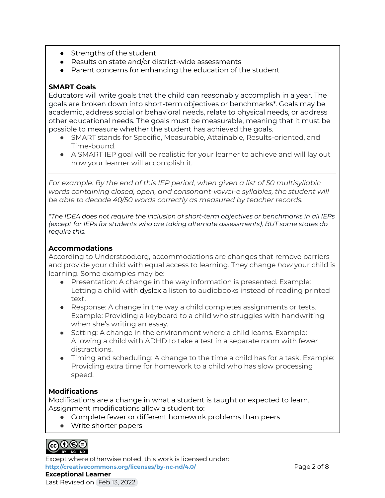- Strengths of the student
- Results on state and/or district-wide assessments
- Parent concerns for enhancing the education of the student

#### **SMART Goals**

Educators will write goals that the child can reasonably accomplish in a year. The goals are broken down into short-term objectives or benchmarks\*. Goals may be academic, address social or behavioral needs, relate to physical needs, or address other educational needs. The goals must be measurable, meaning that it must be possible to measure whether the student has achieved the goals.

- SMART stands for Specific, Measurable, Attainable, Results-oriented, and Time-bound.
- A SMART IEP goal will be realistic for your learner to achieve and will lay out how your learner will accomplish it.

*For example: By the end of this IEP period, when given a list of 50 multisyllabic words containing closed, open, and consonant-vowel-e syllables, the student will be able to decode 40/50 words correctly as measured by teacher records.*

*\*The IDEA does not require the inclusion of short-term objectives or benchmarks in all IEPs (except for IEPs for students who are taking alternate assessments), BUT some states do require this.*

#### **Accommodations**

According to Understood.org, accommodations are changes that remove barriers and provide your child with equal access to learning. They change *how* your child is learning. Some examples may be:

- Presentation: A change in the way information is presented. Example: Letting a child with dyslexia listen to audiobooks instead of reading printed text.
- Response: A change in the way a child completes assignments or tests. Example: Providing a keyboard to a child who struggles with handwriting when she's writing an essay.
- Setting: A change in the environment where a child learns. Example: Allowing a child with ADHD to take a test in a separate room with fewer distractions.
- Timing and scheduling: A change to the time a child has for a task. Example: Providing extra time for homework to a child who has slow processing speed.

### **Modifications**

Modifications are a change in what a student is taught or expected to learn. Assignment modifications allow a student to:

- Complete fewer or different homework problems than peers
- Write shorter papers



Except where otherwise noted, this work is licensed under: **<http://creativecommons.org/licenses/by-nc-nd/4.0/>** Page 2 of 8 **Exceptional Learner**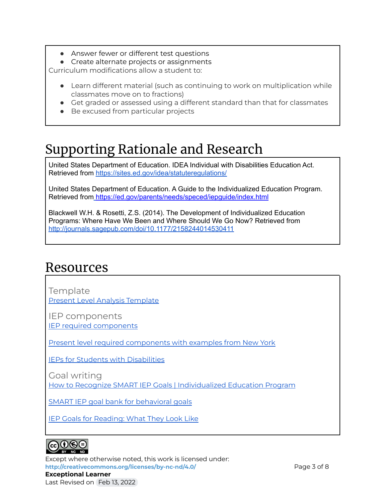- Answer fewer or different test questions
- Create alternate projects or assignments

Curriculum modifications allow a student to:

- Learn different material (such as continuing to work on multiplication while classmates move on to fractions)
- Get graded or assessed using a different standard than that for classmates
- Be excused from particular projects

# Supporting Rationale and Research

United States Department of Education. IDEA Individual with Disabilities Education Act. Retrieved from <https://sites.ed.gov/idea/statuteregulations/>

United States Department of Education. A Guide to the Individualized Education Program. Retrieved from <https://ed.gov/parents/needs/speced/iepguide/index.html>

Blackwell W.H. & Rosetti, Z.S. (2014). The Development of Individualized Education Programs: Where Have We Been and Where Should We Go Now? Retrieved from <http://journals.sagepub.com/doi/10.1177/2158244014530411>

### Resources

Template Present Level Analysis [Template](https://docs.google.com/document/d/1LPzWtqhgYCgo6FgElDD02aK-i6BNIksupb1tO2zVUWw/edit)

IEP components IEP required [components](https://chadd.org/wp-content/uploads/2018/06/ATTN_10_00_EffectiveIEPDevelopmentforStudentswithADHD.pdf)

Present level required [components](http://www.p12.nysed.gov/specialed/publications/iepguidance/present.htm) with examples from New York

IEPs for Students with [Disabilities](https://mn.gov/mnddc/resources/factsheets/IEP_for_Students.htm)

Goal writing

How to Recognize SMART IEP Goals | [Individualized](https://www.understood.org/en/school-learning/special-services/ieps/how-to-tell-if-your-childs-iep-goals-are-smart) Education Program

SMART IEP goal bank for [behavioral](http://behaviorpsych.blogspot.com/p/goal-bank.html) goals

IEP Goals for [Reading:](https://www.understood.org/en/school-learning/special-services/ieps/iep-goals-for-reading-what-they-look-like) What They Look Like



Except where otherwise noted, this work is licensed under: <http://creativecommons.org/licenses/by-nc-nd/4.0/> **Page 3 of 8 Exceptional Learner** Last Revised on Feb 13, 2022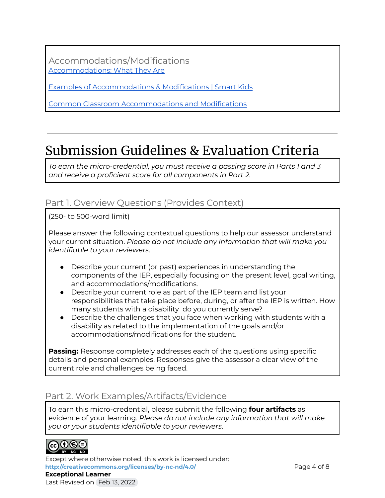Accommodations/Modifications [Accommodations:](https://www.understood.org/en/learning-attention-issues/treatments-approaches/educational-strategies/accommodations-what-they-are-and-how-they-work) What They Are

Examples of [Accommodations](https://www.smartkidswithld.org/getting-help/the-abcs-of-ieps/examples-of-accommodations-modifications/) & Modifications | Smart Kids

Common Classroom [Accommodations](https://www.understood.org/en/learning-attention-issues/treatments-approaches/educational-strategies/common-classroom-accommodations-and-modifications) and Modifications

## Submission Guidelines & Evaluation Criteria

*To earn the micro-credential, you must receive a passing score in Parts 1 and 3 and receive a proficient score for all components in Part 2.*

### Part 1. Overview Questions (Provides Context)

(250- to 500-word limit)

Please answer the following contextual questions to help our assessor understand your current situation. *Please do not include any information that will make you identifiable to your reviewers*.

- Describe your current (or past) experiences in understanding the components of the IEP, especially focusing on the present level, goal writing, and accommodations/modifications.
- Describe your current role as part of the IEP team and list your responsibilities that take place before, during, or after the IEP is written. How many students with a disability do you currently serve?
- Describe the challenges that you face when working with students with a disability as related to the implementation of the goals and/or accommodations/modifications for the student.

**Passing:** Response completely addresses each of the questions using specific details and personal examples. Responses give the assessor a clear view of the current role and challenges being faced.

### Part 2. Work Examples/Artifacts/Evidence

To earn this micro-credential, please submit the following **four artifacts** as evidence of your learning. *Please do not include any information that will make you or your students identifiable to your reviewers*.



Except where otherwise noted, this work is licensed under: **<http://creativecommons.org/licenses/by-nc-nd/4.0/>** Page 4 of 8 **Exceptional Learner** Last Revised on Feb 13, 2022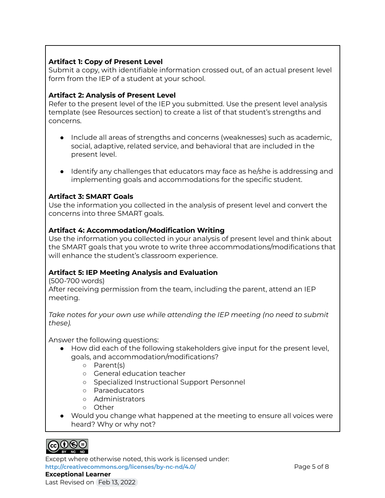#### **Artifact 1: Copy of Present Level**

Submit a copy, with identifiable information crossed out, of an actual present level form from the IEP of a student at your school.

#### **Artifact 2: Analysis of Present Level**

Refer to the present level of the IEP you submitted. Use the present level analysis template (see Resources section) to create a list of that student's strengths and concerns.

- Include all areas of strengths and concerns (weaknesses) such as academic, social, adaptive, related service, and behavioral that are included in the present level.
- Identify any challenges that educators may face as he/she is addressing and implementing goals and accommodations for the specific student.

#### **Artifact 3: SMART Goals**

Use the information you collected in the analysis of present level and convert the concerns into three SMART goals.

#### **Artifact 4: Accommodation/Modification Writing**

Use the information you collected in your analysis of present level and think about the SMART goals that you wrote to write three accommodations/modifications that will enhance the student's classroom experience.

### **Artifact 5: IEP Meeting Analysis and Evaluation**

(500-700 words) After receiving permission from the team, including the parent, attend an IEP meeting.

*Take notes for your own use while attending the IEP meeting (no need to submit these).*

Answer the following questions:

- How did each of the following stakeholders give input for the present level, goals, and accommodation/modifications?
	- Parent(s)
	- General education teacher
	- Specialized Instructional Support Personnel
	- Paraeducators
	- Administrators
	- Other
- Would you change what happened at the meeting to ensure all voices were heard? Why or why not?



Except where otherwise noted, this work is licensed under: **<http://creativecommons.org/licenses/by-nc-nd/4.0/>** Page 5 of 8 **Exceptional Learner**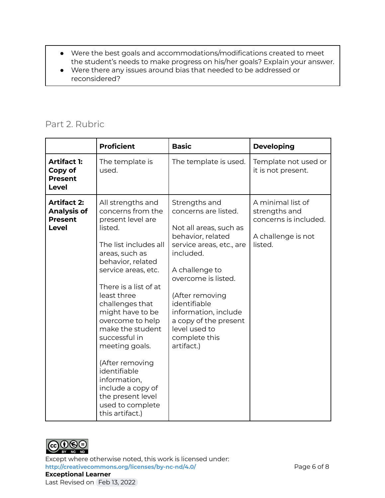- Were the best goals and accommodations/modifications created to meet the student's needs to make progress on his/her goals? Explain your answer.
- Were there any issues around bias that needed to be addressed or reconsidered?

### Part 2. Rubric

|                                                                            | <b>Proficient</b>                                                                                                                                                                                                                                                                                                                                                                                                                                           | <b>Basic</b>                                                                                                                                                                                                                                                                                               | <b>Developing</b>                                                                            |
|----------------------------------------------------------------------------|-------------------------------------------------------------------------------------------------------------------------------------------------------------------------------------------------------------------------------------------------------------------------------------------------------------------------------------------------------------------------------------------------------------------------------------------------------------|------------------------------------------------------------------------------------------------------------------------------------------------------------------------------------------------------------------------------------------------------------------------------------------------------------|----------------------------------------------------------------------------------------------|
| <b>Artifact 1:</b><br>Copy of<br><b>Present</b><br>Level                   | The template is<br>used.                                                                                                                                                                                                                                                                                                                                                                                                                                    | The template is used.                                                                                                                                                                                                                                                                                      | Template not used or<br>it is not present.                                                   |
| <b>Artifact 2:</b><br><b>Analysis of</b><br><b>Present</b><br><b>Level</b> | All strengths and<br>concerns from the<br>present level are<br>listed.<br>The list includes all<br>areas, such as<br>behavior, related<br>service areas, etc.<br>There is a list of at<br>least three<br>challenges that<br>might have to be<br>overcome to help<br>make the student<br>successful in<br>meeting goals.<br>(After removing<br>identifiable<br>information,<br>include a copy of<br>the present level<br>used to complete<br>this artifact.) | Strengths and<br>concerns are listed.<br>Not all areas, such as<br>behavior, related<br>service areas, etc., are<br>included.<br>A challenge to<br>overcome is listed.<br>(After removing<br>identifiable<br>information, include<br>a copy of the present<br>level used to<br>complete this<br>artifact.) | A minimal list of<br>strengths and<br>concerns is included.<br>A challenge is not<br>listed. |



Except where otherwise noted, this work is licensed under: <http://creativecommons.org/licenses/by-nc-nd/4.0/><br>
Page 6 of 8 **Exceptional Learner** Last Revised on Feb 13, 2022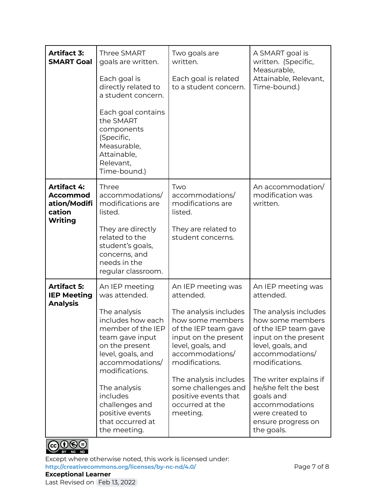| <b>Artifact 3:</b><br><b>SMART Goal</b>                                           | <b>Three SMART</b><br>goals are written.<br>Each goal is<br>directly related to<br>a student concern.<br>Each goal contains<br>the SMART<br>components<br>(Specific,<br>Measurable,<br>Attainable,<br>Relevant,<br>Time-bound.)                                                               | Two goals are<br>written.<br>Each goal is related<br>to a student concern.                                                                                                                                                                                                                    | A SMART goal is<br>written. (Specific,<br>Measurable,<br>Attainable, Relevant,<br>Time-bound.)                                                                                                                                                                                                                                 |
|-----------------------------------------------------------------------------------|-----------------------------------------------------------------------------------------------------------------------------------------------------------------------------------------------------------------------------------------------------------------------------------------------|-----------------------------------------------------------------------------------------------------------------------------------------------------------------------------------------------------------------------------------------------------------------------------------------------|--------------------------------------------------------------------------------------------------------------------------------------------------------------------------------------------------------------------------------------------------------------------------------------------------------------------------------|
| <b>Artifact 4:</b><br><b>Accommod</b><br>ation/Modifi<br>cation<br><b>Writing</b> | Three<br>accommodations/<br>modifications are<br>listed.<br>They are directly<br>related to the<br>student's goals,<br>concerns, and<br>needs in the<br>regular classroom.                                                                                                                    | Two<br>accommodations/<br>modifications are<br>listed.<br>They are related to<br>student concerns.                                                                                                                                                                                            | An accommodation/<br>modification was<br>written.                                                                                                                                                                                                                                                                              |
| <b>Artifact 5:</b><br><b>IEP Meeting</b><br><b>Analysis</b>                       | An IEP meeting<br>was attended.<br>The analysis<br>includes how each<br>member of the IEP<br>team gave input<br>on the present<br>level, goals, and<br>accommodations/<br>modifications.<br>The analysis<br>includes<br>challenges and<br>positive events<br>that occurred at<br>the meeting. | An IEP meeting was<br>attended.<br>The analysis includes<br>how some members<br>of the IEP team gave<br>input on the present<br>level, goals, and<br>accommodations/<br>modifications.<br>The analysis includes<br>some challenges and<br>positive events that<br>occurred at the<br>meeting. | An IEP meeting was<br>attended.<br>The analysis includes<br>how some members<br>of the IEP team gave<br>input on the present<br>level, goals, and<br>accommodations/<br>modifications.<br>The writer explains if<br>he/she felt the best<br>goals and<br>accommodations<br>were created to<br>ensure progress on<br>the goals. |



Except where otherwise noted, this work is licensed under: <http://creativecommons.org/licenses/by-nc-nd/4.0/><br>
Page 7 of 8 **Exceptional Learner**